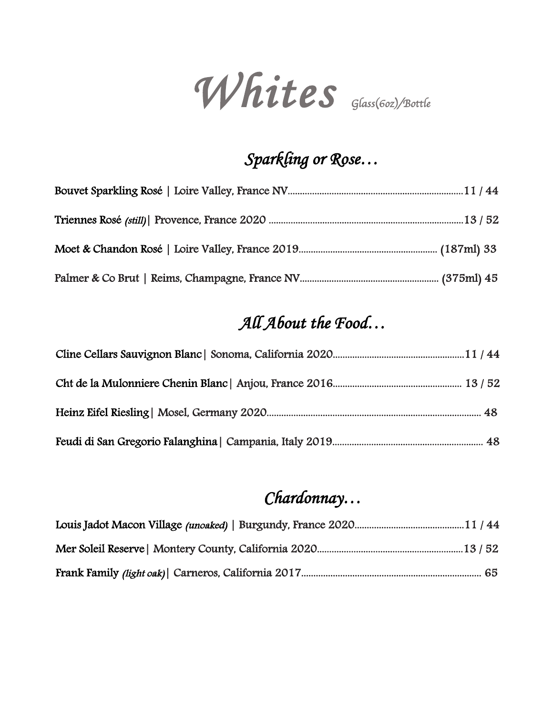*Whites Glass*(*6oz*)*/Bottle*

### *Sparkling or Rose…*

## *All About the Food…*

## *Chardonnay…*